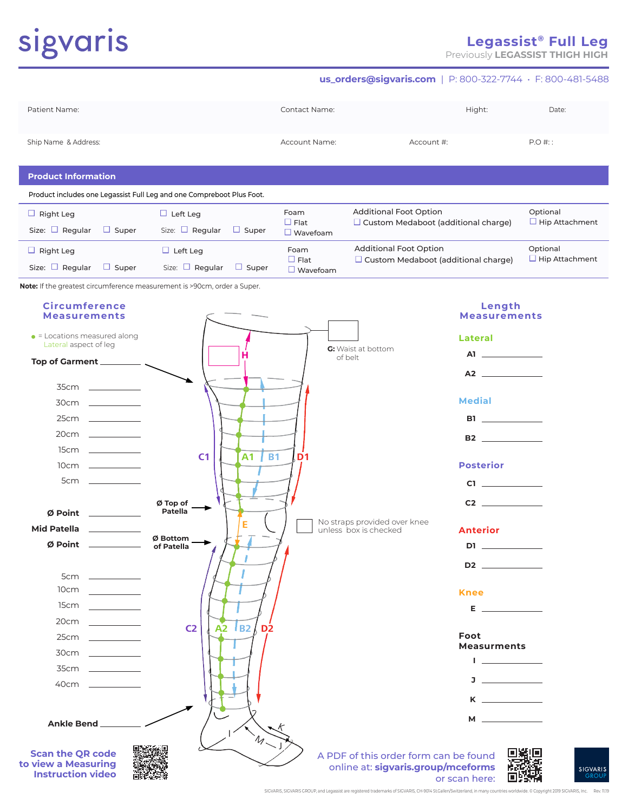# sigvaris

# **Legassist® Full Leg**

Previously **LEGASSIST THIGH HIGH**

#### **us\_orders@sigvaris.com** | P: 800-322-7744 • F: 800-481-5488

| Patient Name:              | <b>Contact Name:</b> | Hight:     | Date:    |
|----------------------------|----------------------|------------|----------|
| Ship Name & Address:       | Account Name:        | Account #: | $P.O#$ : |
| <b>Product Information</b> |                      |            |          |

Product includes one Legassist Full Leg and one Compreboot Plus Foot.

| Right Leg<br>Size: $\Box$ Regular<br>$\Box$ Super | $\Box$ Left Leg<br>Size: $\Box$ Regular<br>Super<br>ப   | Foam<br>$\Box$ Flat<br>$\Box$ Wavefoam | <b>Additional Foot Option</b><br>$\Box$ Custom Medaboot (additional charge) | Optional<br>$\Box$ Hip Attachment |
|---------------------------------------------------|---------------------------------------------------------|----------------------------------------|-----------------------------------------------------------------------------|-----------------------------------|
| Right Leg<br>Size: $\Box$ Regular<br>$\Box$ Super | $\Box$ Left Leg<br>Size: $\Box$ Regular<br>$\Box$ Super | Foam<br>∟ Flat<br>Wavefoam             | <b>Additional Foot Option</b><br>$\Box$ Custom Medaboot (additional charge) | Optional<br>$\Box$ Hip Attachment |

**Note:** If the greatest circumference measurement is >90cm, order a Super.

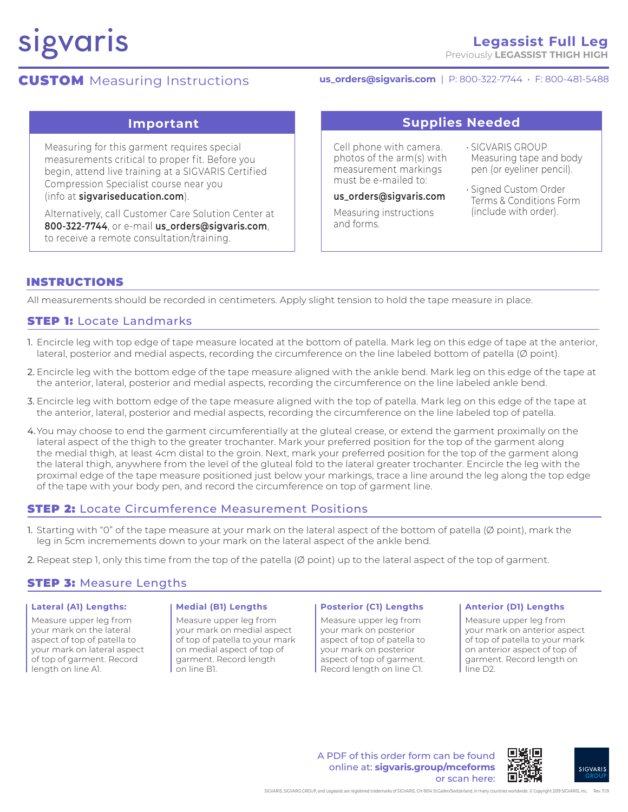# sigvaris

### **Legassist Full Leg** Previously **LEGASSIST THIGH HIGH**

# **CUSTOM** Measuring Instructions

# **us\_orders@sigvaris.com** | P: 800-322-7744 • F: 800-481-5488

Measuring for this garment requires special measurements critical to proper fit. Before you begin, attend live training at a SIGVARIS Certified Compression Specialist course near you (info at **sigvariseducation.com**).

Alternatively, call Customer Care Solution Center at **800-322-7744**, or e-mail **us\_orders@sigvaris.com**, to receive a remote consultation/training.

# **Important Supplies Needed**

Cell phone with camera. photos of the arm(s) with measurement markings must be e-mailed to:

**us\_orders@sigvaris.com**

Measuring instructions and forms.

- SIGVARIS GROUP Measuring tape and body pen (or eyeliner pencil).
- Signed Custom Order Terms & Conditions Form (include with order).

# INSTRUCTIONS

All measurements should be recorded in centimeters. Apply slight tension to hold the tape measure in place.

# **STEP 1: Locate Landmarks**

- 1. Encircle leg with top edge of tape measure located at the bottom of patella. Mark leg on this edge of tape at the anterior, lateral, posterior and medial aspects, recording the circumference on the line labeled bottom of patella (Ø point).
- 2. Encircle leg with the bottom edge of the tape measure aligned with the ankle bend. Mark leg on this edge of the tape at the anterior, lateral, posterior and medial aspects, recording the circumference on the line labeled ankle bend.
- 3. Encircle leg with bottom edge of the tape measure aligned with the top of patella. Mark leg on this edge of the tape at the anterior, lateral, posterior and medial aspects, recording the circumference on the line labeled top of patella.
- 4.You may choose to end the garment circumferentially at the gluteal crease, or extend the garment proximally on the lateral aspect of the thigh to the greater trochanter. Mark your preferred position for the top of the garment along the medial thigh, at least 4cm distal to the groin. Next, mark your preferred position for the top of the garment along the lateral thigh, anywhere from the level of the gluteal fold to the lateral greater trochanter. Encircle the leg with the proximal edge of the tape measure positioned just below your markings, trace a line around the leg along the top edge of the tape with your body pen, and record the circumference on top of garment line.

# **STEP 2:** Locate Circumference Measurement Positions

- 1. Starting with "0" of the tape measure at your mark on the lateral aspect of the bottom of patella ( $\emptyset$  point), mark the leg in 5cm incremements down to your mark on the lateral aspect of the ankle bend.
- 2. Repeat step 1, only this time from the top of the patella  $(\emptyset)$  point) up to the lateral aspect of the top of garment.

### **STEP 3: Measure Lengths**

#### **Lateral (A1) Lengths:**

Measure upper leg from your mark on the lateral aspect of top of patella to your mark on lateral aspect of top of garment. Record length on line A1.

#### **Medial (B1) Lengths**

Measure upper leg from your mark on medial aspect of top of patella to your mark on medial aspect of top of garment. Record length on line B1.

#### **Posterior (C1) Lengths**

Measure upper leg from your mark on posterior aspect of top of patella to your mark on posterior aspect of top of garment. Record length on line C1.

#### **Anterior (D1) Lengths**

Measure upper leg from your mark on anterior aspect of top of patella to your mark on anterior aspect of top of garment. Record length on line D2.

A PDF of this order form can be found online at: **sigvaris.group/mceforms** or scan here: